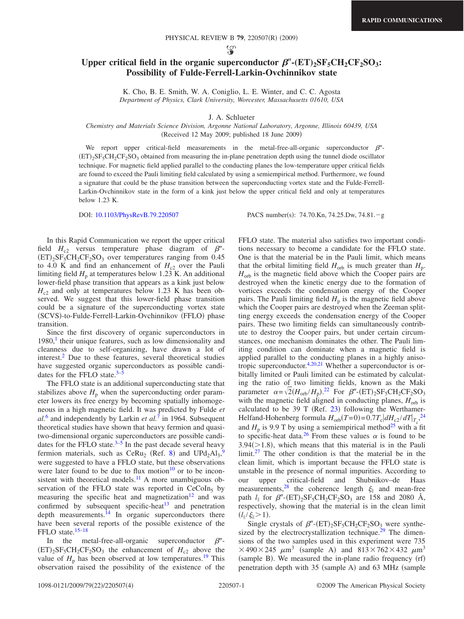ပ္စာ

## Upper critical field in the organic superconductor  $\beta''$ - $(ET)_2SF_5CH_2CF_2SO_3$ : **Possibility of Fulde-Ferrell-Larkin-Ovchinnikov state**

K. Cho, B. E. Smith, W. A. Coniglio, L. E. Winter, and C. C. Agosta *Department of Physics, Clark University, Worcester, Massachusetts 01610, USA*

J. A. Schlueter

## *Chemistry and Materials Science Division, Argonne National Laboratory, Argonne, Illinois 60439, USA*  $(Received 12 May 2009; published 18 June 2009)$

We report upper critical-field measurements in the metal-free-all-organic superconductor  $\beta''$ - $(ET)_2SF_5CH_2CF_2SO_3$  obtained from measuring the in-plane penetration depth using the tunnel diode oscillator technique. For magnetic field applied parallel to the conducting planes the low-temperature upper critical fields are found to exceed the Pauli limiting field calculated by using a semiempirical method. Furthermore, we found a signature that could be the phase transition between the superconducting vortex state and the Fulde-Ferrell-Larkin-Ovchinnikov state in the form of a kink just below the upper critical field and only at temperatures below 1.23 K.

DOI: [10.1103/PhysRevB.79.220507](http://dx.doi.org/10.1103/PhysRevB.79.220507) PACS number(s): 74.70.Kn, 74.25.Dw, 74.81. - g

In this Rapid Communication we report the upper critical field  $H_{c2}$  versus temperature phase diagram of  $\beta''$ - $(ET)_{2}SF_{5}CH_{2}CF_{2}SO_{3}$  over temperatures ranging from 0.45 to 4.0 K and find an enhancement of  $H_{c2}$  over the Pauli limiting field  $H<sub>p</sub>$  at temperatures below 1.23 K. An additional lower-field phase transition that appears as a kink just below  $H<sub>c2</sub>$  and only at temperatures below 1.23 K has been observed. We suggest that this lower-field phase transition could be a signature of the superconducting vortex state (SCVS)-to-Fulde-Ferrell-Larkin-Ovchinnikov (FFLO) phase transition.

Since the first discovery of organic superconductors in  $1980<sup>1</sup>$  their unique features, such as low dimensionality and cleanness due to self-organizing, have drawn a lot of interest.<sup>2</sup> Due to these features, several theoretical studies have suggested organic superconductors as possible candidates for the FFLO state. $3-\overline{5}$ 

The FFLO state is an additional superconducting state that stabilizes above  $H_p$  when the superconducting order parameter lowers its free energy by becoming spatially inhomogeneous in a high magnetic field. It was predicted by Fulde *et al.*[6](#page-3-4) and independently by Larkin *et al.*[7](#page-3-5) in 1964. Subsequent theoretical studies have shown that heavy fermion and quasitwo-dimensional organic superconductors are possible candidates for the FFLO state. $3-5$  $3-5$  In the past decade several heavy fermion materials, such as  $CeRu<sub>2</sub>$  (Ref. [8](#page-3-6)) and  $UPd<sub>2</sub>Al<sub>3</sub>$ , were suggested to have a FFLO state, but these observations were later found to be due to flux motion $10$  or to be inconsistent with theoretical models.<sup>11</sup> A more unambiguous observation of the FFLO state was reported in  $CeCoIn<sub>5</sub>$  by measuring the specific heat and magnetization<sup>12</sup> and was confirmed by subsequent specific-heat<sup>13</sup> and penetration depth measurements. $^{14}$  In organic superconductors there have been several reports of the possible existence of the FFLO state.<sup>15[–18](#page-3-14)</sup>

In the metal-free-all-organic superconductor  $\beta''$ - $(ET)_2SF_5CH_2CF_2SO_3$  the enhancement of  $H_{c2}$  above the value of  $H_p$  has been observed at low temperatures.<sup>19</sup> This observation raised the possibility of the existence of the FFLO state. The material also satisfies two important conditions necessary to become a candidate for the FFLO state. One is that the material be in the Pauli limit, which means that the orbital limiting field  $H_{\text{orb}}$  is much greater than  $H_{\text{p}}$ .  $H_{\text{orb}}$  is the magnetic field above which the Cooper pairs are destroyed when the kinetic energy due to the formation of vortices exceeds the condensation energy of the Cooper pairs. The Pauli limiting field  $H<sub>p</sub>$  is the magnetic field above which the Cooper pairs are destroyed when the Zeeman splitting energy exceeds the condensation energy of the Cooper pairs. These two limiting fields can simultaneously contribute to destroy the Cooper pairs, but under certain circumstances, one mechanism dominates the other. The Pauli limiting condition can dominate when a magnetic field is applied parallel to the conducting planes in a highly anisotropic superconductor[.4](#page-3-16)[,20](#page-3-17)[,21](#page-3-18) Whether a superconductor is orbitally limited or Pauli limited can be estimated by calculating the ratio of two limiting fields, known as the Maki parameter  $\alpha = \sqrt{2} (H_{\rm orb}/H_p)$ .<sup>[22](#page-3-19)</sup> For  $\beta''$ -(ET)<sub>2</sub>SF<sub>5</sub>CH<sub>2</sub>CF<sub>2</sub>SO<sub>3</sub> with the magnetic field aligned in conducting planes,  $H_{\text{orb}}$  is calculated to be 39 T (Ref.  $23$ ) following the Werthamer-Helfand-Hohenberg formula  $H_{\text{orb}}(T=0) = 0.7T_c \left| dH_{c2} / dT \right|_{T_c}^{24}$  $H_{\text{orb}}(T=0) = 0.7T_c \left| dH_{c2} / dT \right|_{T_c}^{24}$  $H_{\text{orb}}(T=0) = 0.7T_c \left| dH_{c2} / dT \right|_{T_c}^{24}$ and  $H_p$  is 9.9 T by using a semiempirical method<sup>25</sup> with a fit to specific-heat data.<sup>26</sup> From these values  $\alpha$  is found to be  $3.94 \times 1.8$ , which means that this material is in the Pauli limit[.27](#page-3-24) The other condition is that the material be in the clean limit, which is important because the FFLO state is unstable in the presence of normal impurities. According to our upper critical-field and Shubnikov–de Haas measurements,<sup>28</sup> the coherence length  $\xi_{\parallel}$  and mean-free path  $l_{\parallel}$  for  $\beta''$ -(ET)<sub>2</sub>SF<sub>5</sub>CH<sub>2</sub>CF<sub>2</sub>SO<sub>3</sub> are 158 and 2080 Å, respectively, showing that the material is in the clean limit  $(l_{\parallel}/\xi_{\parallel}>1).$ 

Single crystals of  $\beta''$ - $(ET)_2SF_5CH_2CF_2SO_3$  were synthesized by the electrocrystallization technique.<sup>29</sup> The dimensions of the two samples used in this experiment were 735  $\times$ 490 $\times$ 245  $\mu$ m<sup>3</sup> (sample A) and 813 $\times$ 762 $\times$ 432  $\mu$ m<sup>3</sup>  $(sample B)$ . We measured the in-plane radio frequency  $(rf)$ penetration depth with 35 (sample A) and 63 MHz (sample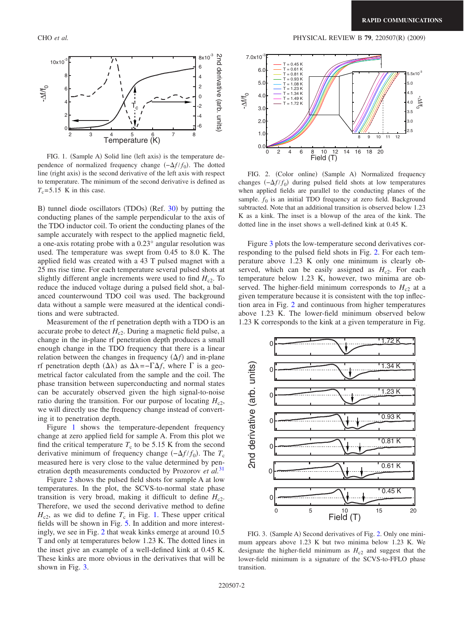<span id="page-1-0"></span>

FIG. 1. (Sample A) Solid line (left axis) is the temperature dependence of normalized frequency change  $(-\Delta f/f_0)$ . The dotted line (right axis) is the second derivative of the left axis with respect to temperature. The minimum of the second derivative is defined as  $T_c$ = 5.15 K in this case.

B) tunnel diode oscillators (TDOs) (Ref. [30](#page-3-27)) by putting the conducting planes of the sample perpendicular to the axis of the TDO inductor coil. To orient the conducting planes of the sample accurately with respect to the applied magnetic field, a one-axis rotating probe with a 0.23° angular resolution was used. The temperature was swept from 0.45 to 8.0 K. The applied field was created with a 43 T pulsed magnet with a 25 ms rise time. For each temperature several pulsed shots at slightly different angle increments were used to find  $H_c$ <sub>2</sub>. To reduce the induced voltage during a pulsed field shot, a balanced counterwound TDO coil was used. The background data without a sample were measured at the identical conditions and were subtracted.

Measurement of the rf penetration depth with a TDO is an accurate probe to detect  $H_{c2}$ . During a magnetic field pulse, a change in the in-plane rf penetration depth produces a small enough change in the TDO frequency that there is a linear relation between the changes in frequency  $(\Delta f)$  and in-plane rf penetration depth  $(Δλ)$  as  $Δλ = -\Gamma Δf$ , where  $\Gamma$  is a geometrical factor calculated from the sample and the coil. The phase transition between superconducting and normal states can be accurately observed given the high signal-to-noise ratio during the transition. For our purpose of locating  $H_{c2}$ , we will directly use the frequency change instead of converting it to penetration depth.

Figure [1](#page-1-0) shows the temperature-dependent frequency change at zero applied field for sample A. From this plot we find the critical temperature  $T_c$  to be 5.15 K from the second derivative minimum of frequency change  $(-\Delta f/f_0)$ . The  $T_c$ measured here is very close to the value determined by penetration depth measurements conducted by Prozorov *et al.*[31](#page-3-28)

Figure [2](#page-1-1) shows the pulsed field shots for sample A at low temperatures. In the plot, the SCVS-to-normal state phase transition is very broad, making it difficult to define  $H_{c2}$ . Therefore, we used the second derivative method to define  $H<sub>c2</sub>$ , as we did to define  $T<sub>c</sub>$  in Fig. [1.](#page-1-0) These upper critical fields will be shown in Fig. [5.](#page-2-0) In addition and more interestingly, we see in Fig. [2](#page-1-1) that weak kinks emerge at around 10.5 T and only at temperatures below 1.23 K. The dotted lines in the inset give an example of a well-defined kink at 0.45 K. These kinks are more obvious in the derivatives that will be shown in Fig. [3.](#page-1-2)

<span id="page-1-1"></span>

FIG. 2. (Color online) (Sample A) Normalized frequency changes  $(-\Delta f/f_0)$  during pulsed field shots at low temperatures when applied fields are parallel to the conducting planes of the sample.  $f_0$  is an initial TDO frequency at zero field. Background subtracted. Note that an additional transition is observed below 1.23 K as a kink. The inset is a blowup of the area of the kink. The dotted line in the inset shows a well-defined kink at 0.45 K.

Figure [3](#page-1-2) plots the low-temperature second derivatives corresponding to the pulsed field shots in Fig. [2.](#page-1-1) For each temperature above 1.23 K only one minimum is clearly observed, which can be easily assigned as  $H_{c2}$ . For each temperature below 1.23 K, however, two minima are observed. The higher-field minimum corresponds to  $H_{c2}$  at a given temperature because it is consistent with the top inflection area in Fig. [2](#page-1-1) and continuous from higher temperatures above 1.23 K. The lower-field minimum observed below 1.23 K corresponds to the kink at a given temperature in Fig.

<span id="page-1-2"></span>

FIG. 3. (Sample A) Second derivatives of Fig. [2.](#page-1-1) Only one minimum appears above 1.23 K but two minima below 1.23 K. We designate the higher-field minimum as  $H<sub>c2</sub>$  and suggest that the lower-field minimum is a signature of the SCVS-to-FFLO phase transition.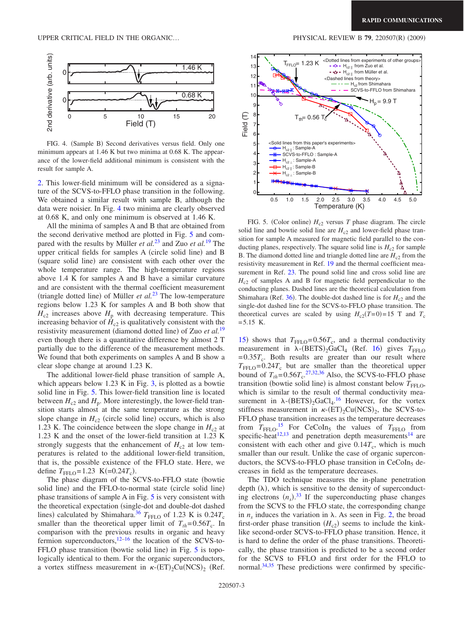<span id="page-2-1"></span>

FIG. 4. (Sample B) Second derivatives versus field. Only one minimum appears at 1.46 K but two minima at 0.68 K. The appearance of the lower-field additional minimum is consistent with the result for sample A.

[2.](#page-1-1) This lower-field minimum will be considered as a signature of the SCVS-to-FFLO phase transition in the following. We obtained a similar result with sample B, although the data were noisier. In Fig. [4](#page-2-1) two minima are clearly observed at 0.68 K, and only one minimum is observed at 1.46 K.

All the minima of samples A and B that are obtained from the second derivative method are plotted in Fig. [5](#page-2-0) and compared with the results by Müller *et al.*[23](#page-3-20) and Zuo *et al.*[19](#page-3-15) The upper critical fields for samples A (circle solid line) and B (square solid line) are consistent with each other over the whole temperature range. The high-temperature regions above 1.4 K for samples A and B have a similar curvature and are consistent with the thermal coefficient measurement (triangle dotted line) of Müller *et al.*<sup>[23](#page-3-20)</sup> The low-temperature regions below 1.23 K for samples A and B both show that  $H_{c2}$  increases above  $H_{p}$  with decreasing temperature. This increasing behavior of  $\hat{H}_{c2}$  is qualitatively consistent with the resistivity measurement (diamond dotted line) of Zuo *et al.*<sup>[19](#page-3-15)</sup> even though there is a quantitative difference by almost 2 T partially due to the difference of the measurement methods. We found that both experiments on samples A and B show a clear slope change at around 1.23 K.

The additional lower-field phase transition of sample A, which appears below 1.23 K in Fig. [3,](#page-1-2) is plotted as a bowtie solid line in Fig. [5.](#page-2-0) This lower-field transition line is located between  $H_{c2}$  and  $H_p$ . More interestingly, the lower-field transition starts almost at the same temperature as the strong slope change in  $H_c$ <sub>2</sub> (circle solid line) occurs, which is also 1.23 K. The coincidence between the slope change in  $H_c$ <sup>2</sup> at 1.23 K and the onset of the lower-field transition at 1.23 K strongly suggests that the enhancement of  $H_{c2}$  at low temperatures is related to the additional lower-field transition, that is, the possible existence of the FFLO state. Here, we define  $T_{\text{FFLO}} = 1.23 \text{ K} (=0.24 T_{\text{c}}).$ 

The phase diagram of the SCVS-to-FFLO state (bowtie solid line) and the FFLO-to-normal state (circle solid line) phase transitions of sample A in Fig. [5](#page-2-0) is very consistent with the theoretical expectation (single-dot and double-dot dashed lines) calculated by Shimahara.<sup>36</sup>  $T_{\text{FFLO}}$  of 1.23 K is 0.24 $T_c$ smaller than the theoretical upper limit of  $T_{th} = 0.56T_c$ . In comparison with the previous results in organic and heavy fermion superconductors,<sup>12[–16](#page-3-30)</sup> the location of the SCVS-to-FFLO phase transition (bowtie solid line) in Fig. [5](#page-2-0) is topologically identical to them. For the organic superconductors, a vortex stiffness measurement in  $\kappa$ - $(ET)$ <sub>2</sub>Cu(NCS)<sub>2</sub> (Ref.

<span id="page-2-0"></span>

FIG. 5. (Color online)  $H_{c2}$  versus *T* phase diagram. The circle solid line and bowtie solid line are  $H<sub>c2</sub>$  and lower-field phase transition for sample A measured for magnetic field parallel to the conducting planes, respectively. The square solid line is  $H_{c2}$  for sample B. The diamond dotted line and triangle dotted line are  $H_{c2}$  from the resistivity measurement in Ref. [19](#page-3-15) and the thermal coefficient measurement in Ref. [23.](#page-3-20) The pound solid line and cross solid line are  $H<sub>c2</sub>$  of samples A and B for magnetic field perpendicular to the conducting planes. Dashed lines are the theoretical calculation from Shimahara (Ref. [36](#page-3-29)). The double-dot dashed line is for  $H_{c2}$  and the single-dot dashed line for the SCVS-to-FFLO phase transition. The theoretical curves are scaled by using  $H_{c2}(T=0) = 15$  T and  $T_c$  $= 5.15$  K.

[15](#page-3-13)) shows that  $T_{\text{FFLO}} = 0.56T_c$ , and a thermal conductivity measurement in  $\lambda$ -(BETS)<sub>2</sub>GaCl<sub>4</sub> (Ref. [16](#page-3-30)) gives  $T_{\text{FFLO}}$  $= 0.35T_c$ . Both results are greater than our result where  $T_{\text{FFLO}} = 0.24 T_c$  but are smaller than the theoretical upper bound of  $T_{th} = 0.56T_c$ .<sup>[27,](#page-3-24)[32](#page-3-31)[,36](#page-3-29)</sup> Also, the SCVS-to-FFLO phase transition (bowtie solid line) is almost constant below  $T<sub>FFLO</sub>$ , which is similar to the result of thermal conductivity measurement in  $\lambda$ -(BETS)<sub>2</sub>GaCl<sub>4</sub>.<sup>[16](#page-3-30)</sup> However, for the vortex stiffness measurement in  $\kappa$ -(ET)<sub>2</sub>Cu(NCS)<sub>2</sub>, the SCVS-to-FFLO phase transition increases as the temperature decreases from  $T_{\text{FFLO}}$ <sup>[15](#page-3-13)</sup> For CeCoIn<sub>5</sub> the values of  $T_{\text{FFLO}}$  from specific-heat<sup>12[,13](#page-3-11)</sup> and penetration depth measurements<sup>14</sup> are consistent with each other and give  $0.14T_c$ , which is much smaller than our result. Unlike the case of organic superconductors, the SCVS-to-FFLO phase transition in CeCoIn<sub>5</sub> decreases in field as the temperature decreases.

The TDO technique measures the in-plane penetration depth  $(\lambda)$ , which is sensitive to the density of superconducting electrons  $(n<sub>s</sub>)$ .<sup>[33](#page-3-32)</sup> If the superconducting phase changes from the SCVS to the FFLO state, the corresponding change in  $n_s$  induces the variation in  $\lambda$ . As seen in Fig. [2,](#page-1-1) the broad first-order phase transition  $(H_c)$  seems to include the kinklike second-order SCVS-to-FFLO phase transition. Hence, it is hard to define the order of the phase transitions. Theoretically, the phase transition is predicted to be a second order for the SCVS to FFLO and first order for the FFLO to normal.<sup>34[,35](#page-3-34)</sup> These predictions were confirmed by specific-